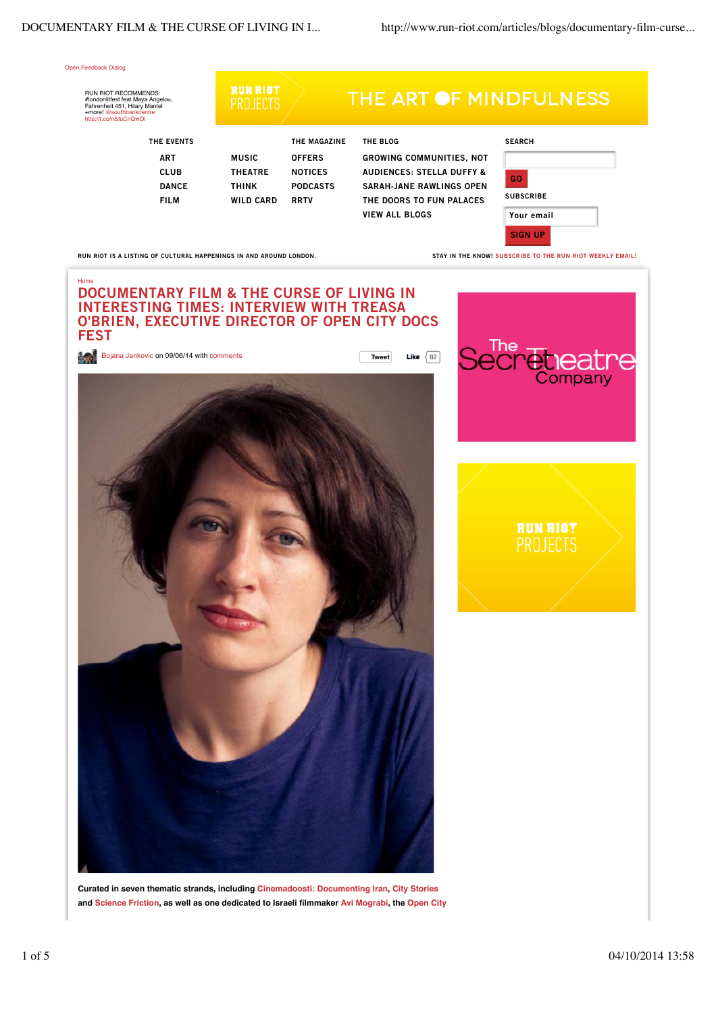

**Curated in seven thematic strands, including Cinemadoosti: Documenting Iran, City Stories and Science Friction, as well as one dedicated to Israeli filmmaker Avi Mograbi, the Open City**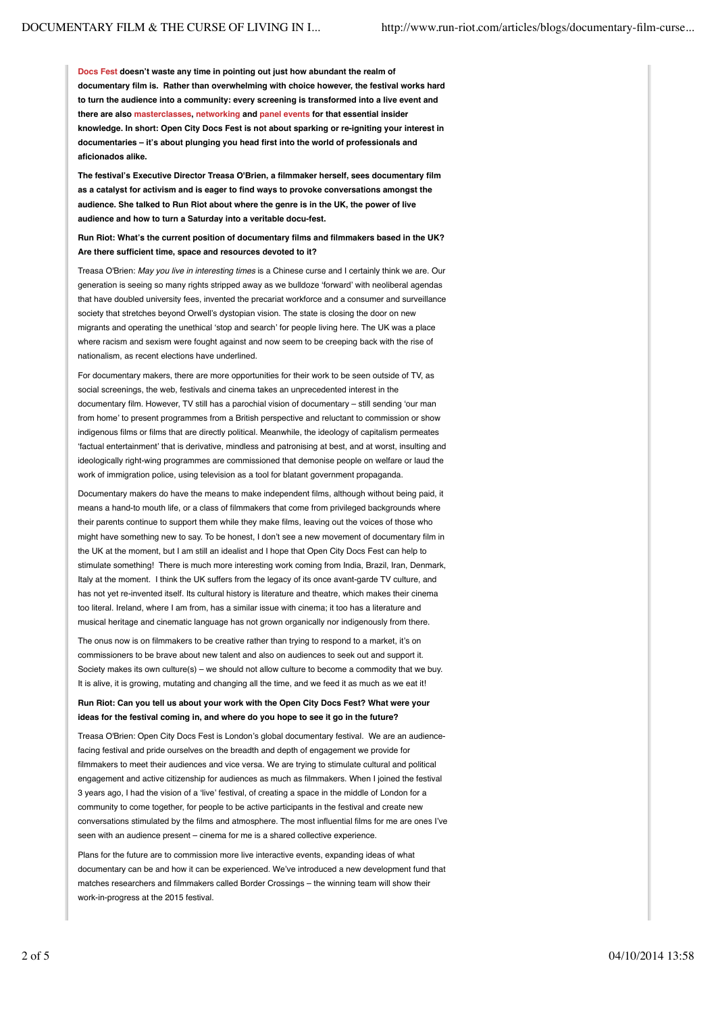**Docs Fest doesn't waste any time in pointing out just how abundant the realm of documentary film is. Rather than overwhelming with choice however, the festival works hard to turn the audience into a community: every screening is transformed into a live event and there are also masterclasses, networking and panel events for that essential insider knowledge. In short: Open City Docs Fest is not about sparking or re-igniting your interest in documentaries – it's about plunging you head first into the world of professionals and aficionados alike.**

**The festival's Executive Director Treasa O'Brien, a filmmaker herself, sees documentary film as a catalyst for activism and is eager to find ways to provoke conversations amongst the audience. She talked to Run Riot about where the genre is in the UK, the power of live audience and how to turn a Saturday into a veritable docu-fest.** 

**Run Riot: What's the current position of documentary films and filmmakers based in the UK? Are there sufficient time, space and resources devoted to it?**

Treasa O'Brien: *May you live in interesting times* is a Chinese curse and I certainly think we are. Our generation is seeing so many rights stripped away as we bulldoze ʻforward' with neoliberal agendas that have doubled university fees, invented the precariat workforce and a consumer and surveillance society that stretches beyond Orwell's dystopian vision. The state is closing the door on new migrants and operating the unethical ʻstop and search' for people living here. The UK was a place where racism and sexism were fought against and now seem to be creeping back with the rise of nationalism, as recent elections have underlined.

For documentary makers, there are more opportunities for their work to be seen outside of TV, as social screenings, the web, festivals and cinema takes an unprecedented interest in the documentary film. However, TV still has a parochial vision of documentary – still sending ʻour man from home' to present programmes from a British perspective and reluctant to commission or show indigenous films or films that are directly political. Meanwhile, the ideology of capitalism permeates ʻfactual entertainment' that is derivative, mindless and patronising at best, and at worst, insulting and ideologically right-wing programmes are commissioned that demonise people on welfare or laud the work of immigration police, using television as a tool for blatant government propaganda.

Documentary makers do have the means to make independent films, although without being paid, it means a hand-to mouth life, or a class of filmmakers that come from privileged backgrounds where their parents continue to support them while they make films, leaving out the voices of those who might have something new to say. To be honest, I don't see a new movement of documentary film in the UK at the moment, but I am still an idealist and I hope that Open City Docs Fest can help to stimulate something! There is much more interesting work coming from India, Brazil, Iran, Denmark, Italy at the moment. I think the UK suffers from the legacy of its once avant-garde TV culture, and has not yet re-invented itself. Its cultural history is literature and theatre, which makes their cinema too literal. Ireland, where I am from, has a similar issue with cinema; it too has a literature and musical heritage and cinematic language has not grown organically nor indigenously from there.

The onus now is on filmmakers to be creative rather than trying to respond to a market, it's on commissioners to be brave about new talent and also on audiences to seek out and support it. Society makes its own culture(s) – we should not allow culture to become a commodity that we buy. It is alive, it is growing, mutating and changing all the time, and we feed it as much as we eat it!

**Run Riot: Can you tell us about your work with the Open City Docs Fest? What were your ideas for the festival coming in, and where do you hope to see it go in the future?**

Treasa O'Brien: Open City Docs Fest is London's global documentary festival. We are an audiencefacing festival and pride ourselves on the breadth and depth of engagement we provide for filmmakers to meet their audiences and vice versa. We are trying to stimulate cultural and political engagement and active citizenship for audiences as much as filmmakers. When I joined the festival 3 years ago, I had the vision of a ʻlive' festival, of creating a space in the middle of London for a community to come together, for people to be active participants in the festival and create new conversations stimulated by the films and atmosphere. The most influential films for me are ones I've seen with an audience present – cinema for me is a shared collective experience.

Plans for the future are to commission more live interactive events, expanding ideas of what documentary can be and how it can be experienced. We've introduced a new development fund that matches researchers and filmmakers called Border Crossings – the winning team will show their work-in-progress at the 2015 festival.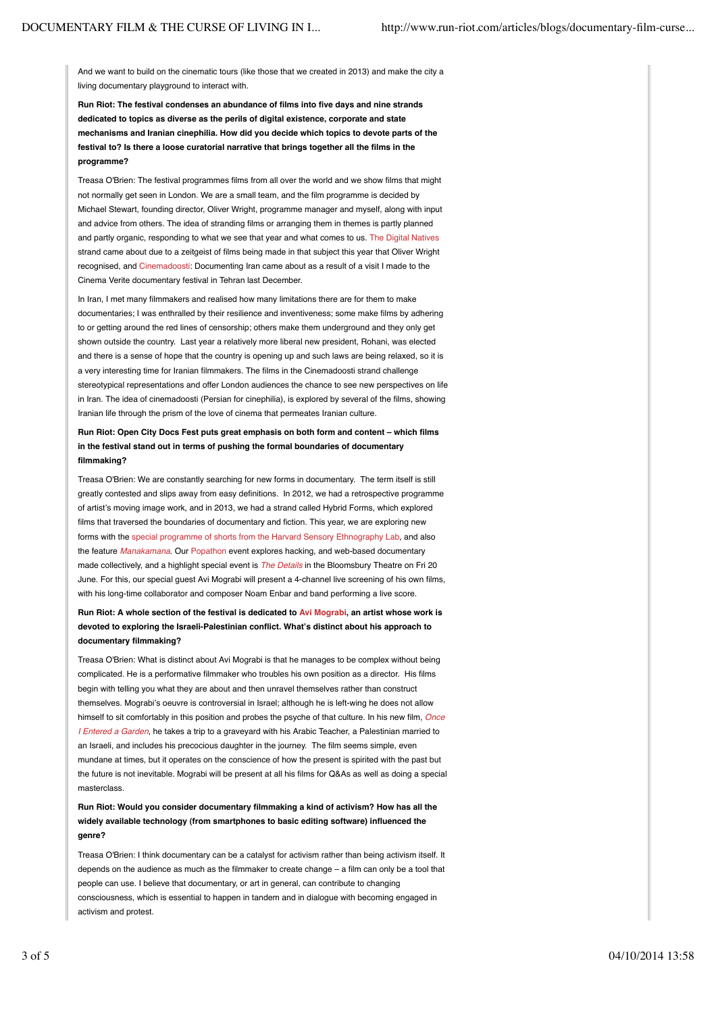And we want to build on the cinematic tours (like those that we created in 2013) and make the city a living documentary playground to interact with.

**Run Riot: The festival condenses an abundance of films into five days and nine strands dedicated to topics as diverse as the perils of digital existence, corporate and state mechanisms and Iranian cinephilia. How did you decide which topics to devote parts of the festival to? Is there a loose curatorial narrative that brings together all the films in the programme?**

Treasa O'Brien: The festival programmes films from all over the world and we show films that might not normally get seen in London. We are a small team, and the film programme is decided by Michael Stewart, founding director, Oliver Wright, programme manager and myself, along with input and advice from others. The idea of stranding films or arranging them in themes is partly planned and partly organic, responding to what we see that year and what comes to us. The Digital Natives strand came about due to a zeitgeist of films being made in that subject this year that Oliver Wright recognised, and Cinemadoosti: Documenting Iran came about as a result of a visit I made to the Cinema Verite documentary festival in Tehran last December.

In Iran, I met many filmmakers and realised how many limitations there are for them to make documentaries; I was enthralled by their resilience and inventiveness; some make films by adhering to or getting around the red lines of censorship; others make them underground and they only get shown outside the country. Last year a relatively more liberal new president, Rohani, was elected and there is a sense of hope that the country is opening up and such laws are being relaxed, so it is a very interesting time for Iranian filmmakers. The films in the Cinemadoosti strand challenge stereotypical representations and offer London audiences the chance to see new perspectives on life in Iran. The idea of cinemadoosti (Persian for cinephilia), is explored by several of the films, showing Iranian life through the prism of the love of cinema that permeates Iranian culture.

**Run Riot: Open City Docs Fest puts great emphasis on both form and content – which films in the festival stand out in terms of pushing the formal boundaries of documentary filmmaking?**

Treasa O'Brien: We are constantly searching for new forms in documentary. The term itself is still greatly contested and slips away from easy definitions. In 2012, we had a retrospective programme of artist's moving image work, and in 2013, we had a strand called Hybrid Forms, which explored films that traversed the boundaries of documentary and fiction. This year, we are exploring new forms with the special programme of shorts from the Harvard Sensory Ethnography Lab, and also the feature *Manakamana*. Our Popathon event explores hacking, and web-based documentary made collectively, and a highlight special event is *The Details* in the Bloomsbury Theatre on Fri 20 June. For this, our special guest Avi Mograbi will present a 4-channel live screening of his own films, with his long-time collaborator and composer Noam Enbar and band performing a live score.

**Run Riot: A whole section of the festival is dedicated to Avi Mograbi, an artist whose work is devoted to exploring the Israeli-Palestinian conflict. What's distinct about his approach to documentary filmmaking?**

Treasa O'Brien: What is distinct about Avi Mograbi is that he manages to be complex without being complicated. He is a performative filmmaker who troubles his own position as a director. His films begin with telling you what they are about and then unravel themselves rather than construct themselves. Mograbi's oeuvre is controversial in Israel; although he is left-wing he does not allow himself to sit comfortably in this position and probes the psyche of that culture. In his new film, *Once I Entered a Garden*, he takes a trip to a graveyard with his Arabic Teacher, a Palestinian married to an Israeli, and includes his precocious daughter in the journey. The film seems simple, even mundane at times, but it operates on the conscience of how the present is spirited with the past but the future is not inevitable. Mograbi will be present at all his films for Q&As as well as doing a special masterclass.

# **Run Riot: Would you consider documentary filmmaking a kind of activism? How has all the widely available technology (from smartphones to basic editing software) influenced the genre?**

Treasa O'Brien: I think documentary can be a catalyst for activism rather than being activism itself. It depends on the audience as much as the filmmaker to create change – a film can only be a tool that people can use. I believe that documentary, or art in general, can contribute to changing consciousness, which is essential to happen in tandem and in dialogue with becoming engaged in activism and protest.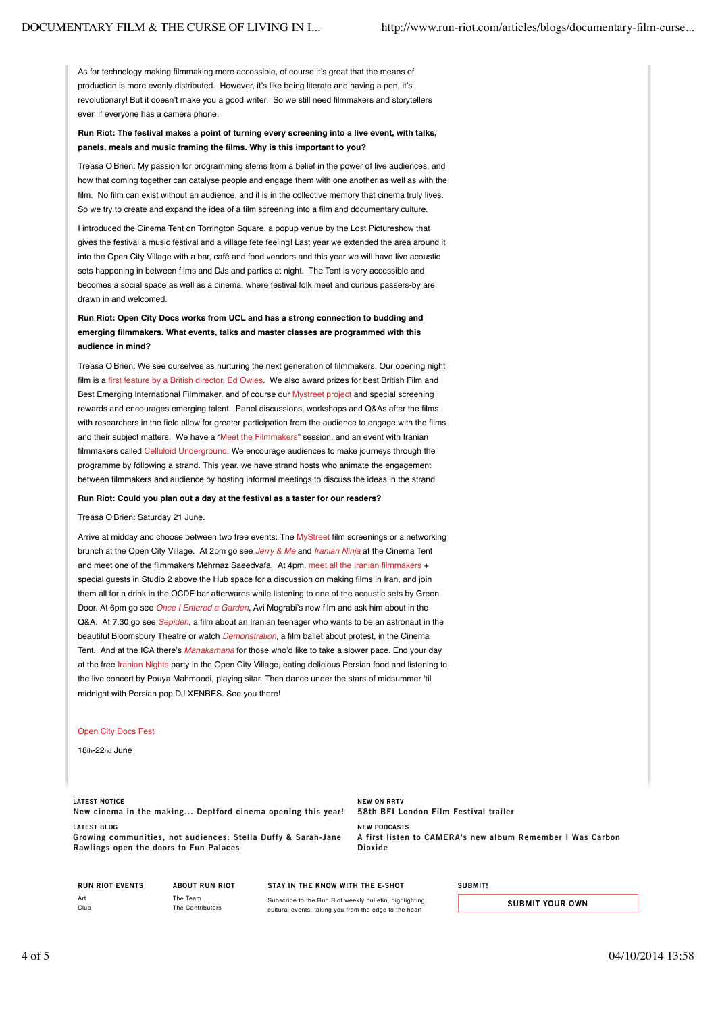As for technology making filmmaking more accessible, of course it's great that the means of production is more evenly distributed. However, it's like being literate and having a pen, it's revolutionary! But it doesn't make you a good writer. So we still need filmmakers and storytellers even if everyone has a camera phone.

## **Run Riot: The festival makes a point of turning every screening into a live event, with talks, panels, meals and music framing the films. Why is this important to you?**

Treasa O'Brien: My passion for programming stems from a belief in the power of live audiences, and how that coming together can catalyse people and engage them with one another as well as with the film. No film can exist without an audience, and it is in the collective memory that cinema truly lives. So we try to create and expand the idea of a film screening into a film and documentary culture.

I introduced the Cinema Tent on Torrington Square, a popup venue by the Lost Pictureshow that gives the festival a music festival and a village fete feeling! Last year we extended the area around it into the Open City Village with a bar, café and food vendors and this year we will have live acoustic sets happening in between films and DJs and parties at night. The Tent is very accessible and becomes a social space as well as a cinema, where festival folk meet and curious passers-by are drawn in and welcomed.

## **Run Riot: Open City Docs works from UCL and has a strong connection to budding and emerging filmmakers. What events, talks and master classes are programmed with this audience in mind?**

Treasa O'Brien: We see ourselves as nurturing the next generation of filmmakers. Our opening night film is a first feature by a British director, Ed Owles. We also award prizes for best British Film and Best Emerging International Filmmaker, and of course our Mystreet project and special screening rewards and encourages emerging talent. Panel discussions, workshops and Q&As after the films with researchers in the field allow for greater participation from the audience to engage with the films and their subject matters. We have a "Meet the Filmmakers" session, and an event with Iranian filmmakers called Celluloid Underground. We encourage audiences to make journeys through the programme by following a strand. This year, we have strand hosts who animate the engagement between filmmakers and audience by hosting informal meetings to discuss the ideas in the strand.

#### **Run Riot: Could you plan out a day at the festival as a taster for our readers?**

### Treasa O'Brien: Saturday 21 June.

Arrive at midday and choose between two free events: The MyStreet film screenings or a networking brunch at the Open City Village. At 2pm go see *Jerry & Me* and *Iranian Ninja* at the Cinema Tent and meet one of the filmmakers Mehrnaz Saeedvafa. At 4pm, meet all the Iranian filmmakers + special guests in Studio 2 above the Hub space for a discussion on making films in Iran, and join them all for a drink in the OCDF bar afterwards while listening to one of the acoustic sets by Green Door. At 6pm go see *Once I Entered a Garden*, Avi Mograbi's new film and ask him about in the Q&A. At 7.30 go see *Sepideh*, a film about an Iranian teenager who wants to be an astronaut in the beautiful Bloomsbury Theatre or watch *Demonstration*, a film ballet about protest, in the Cinema Tent. And at the ICA there's *Manakamana* for those who'd like to take a slower pace. End your day at the free Iranian Nights party in the Open City Village, eating delicious Persian food and listening to the live concert by Pouya Mahmoodi, playing sitar. Then dance under the stars of midsummer ʻtil midnight with Persian pop DJ XENRES. See you there!

### Open City Docs Fest

18th-22nd June

#### LATEST NOTICE

New cinema in the making... Deptford cinema opening this year! LATEST BLOG Growing communities, not audiences: Stella Duffy & Sarah-Jane

NEW ON RRTV 58th BFI London Film Festival trailer NEW PODCASTS A first listen to CAMERA's new album Remember I Was Carbon Dioxide

|      | <b>RUN RIOT EVENTS</b> |
|------|------------------------|
| Art  |                        |
| Club |                        |

Rawlings open the doors to Fun Palaces

ABOUT RUN RIOT The Team The Contributors

## STAY IN THE KNOW WITH THE E-SHOT

Subscribe to the Run Riot weekly bulletin, highlighting cultural events, taking you from the edge to the heart

## **SUBMIT!**

SUBMIT YOUR OWN